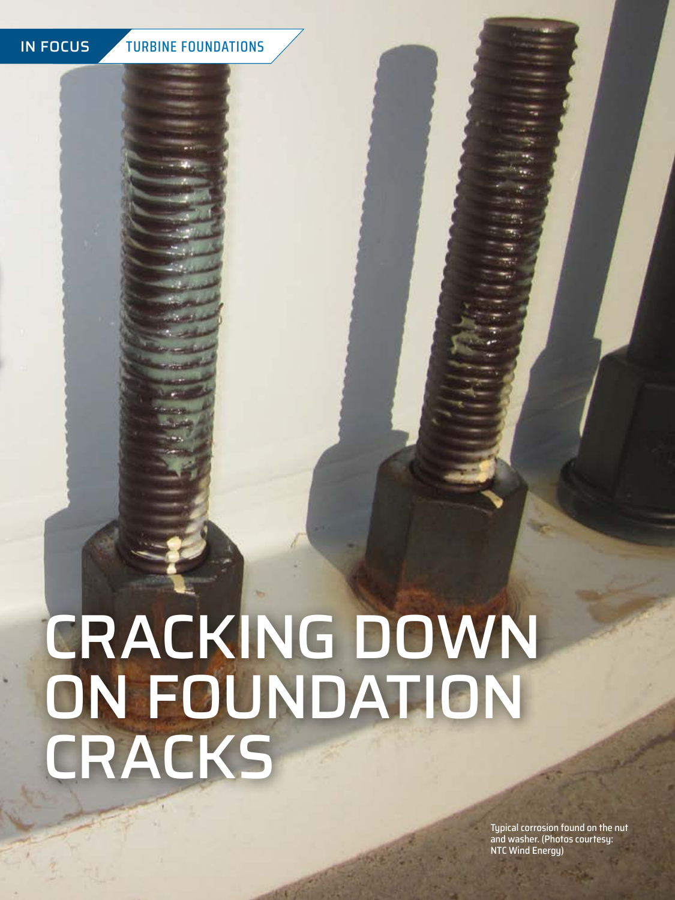**34** AUGUST 2019

# IN FOCUS TURBINE FOUNDATIONS

# CRACKING DOWN ON FOUNDATION CRACKS

Typical corrosion found on the nut and washer. (Photos courtesy: NTC Wind Energy)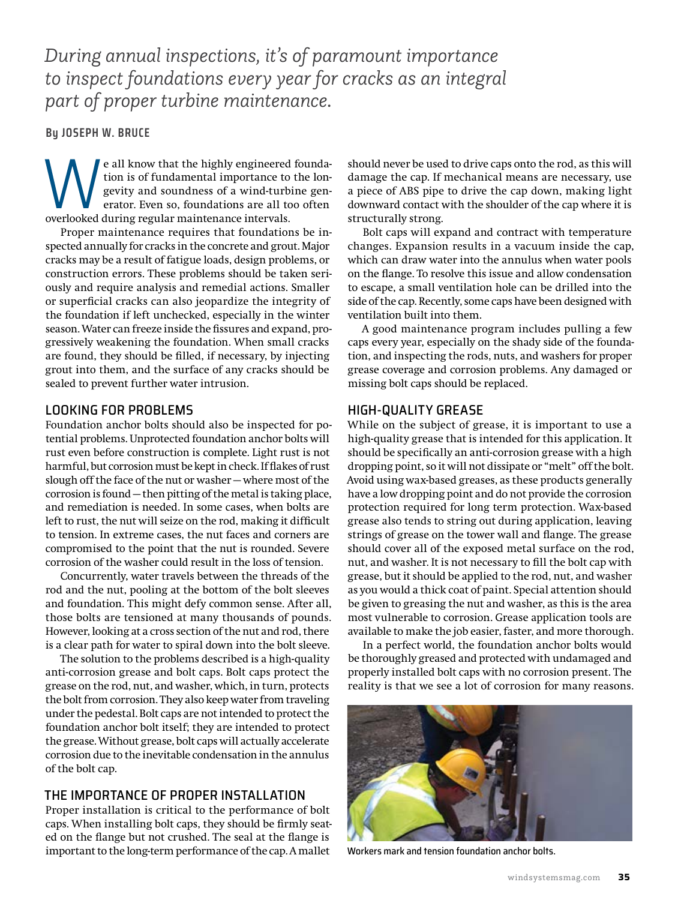*During annual inspections, it's of paramount importance to inspect foundations every year for cracks as an integral part of proper turbine maintenance.*

**By JOSEPH W. BRUCE**

We all know that the highly engineered foundation is of fundamental importance to the longevity and soundness of a wind-turbine generator. Even so, foundations are all too often overlooked during regular maintenance interv tion is of fundamental importance to the longevity and soundness of a wind-turbine generator. Even so, foundations are all too often overlooked during regular maintenance intervals.

Proper maintenance requires that foundations be inspected annually for cracks in the concrete and grout. Major cracks may be a result of fatigue loads, design problems, or construction errors. These problems should be taken seriously and require analysis and remedial actions. Smaller or superficial cracks can also jeopardize the integrity of the foundation if left unchecked, especially in the winter season. Water can freeze inside the fissures and expand, progressively weakening the foundation. When small cracks are found, they should be filled, if necessary, by injecting grout into them, and the surface of any cracks should be sealed to prevent further water intrusion.

### LOOKING FOR PROBLEMS

Foundation anchor bolts should also be inspected for potential problems. Unprotected foundation anchor bolts will rust even before construction is complete. Light rust is not harmful, but corrosion must be kept in check. If flakes of rust slough off the face of the nut or washer — where most of the corrosion is found — then pitting of the metal is taking place, and remediation is needed. In some cases, when bolts are left to rust, the nut will seize on the rod, making it difficult to tension. In extreme cases, the nut faces and corners are compromised to the point that the nut is rounded. Severe corrosion of the washer could result in the loss of tension.

Concurrently, water travels between the threads of the rod and the nut, pooling at the bottom of the bolt sleeves and foundation. This might defy common sense. After all, those bolts are tensioned at many thousands of pounds. However, looking at a cross section of the nut and rod, there is a clear path for water to spiral down into the bolt sleeve.

The solution to the problems described is a high-quality anti-corrosion grease and bolt caps. Bolt caps protect the grease on the rod, nut, and washer, which, in turn, protects the bolt from corrosion. They also keep water from traveling under the pedestal. Bolt caps are not intended to protect the foundation anchor bolt itself; they are intended to protect the grease. Without grease, bolt caps will actually accelerate corrosion due to the inevitable condensation in the annulus of the bolt cap.

# THE IMPORTANCE OF PROPER INSTALL ATION

Proper installation is critical to the performance of bolt caps. When installing bolt caps, they should be firmly seated on the flange but not crushed. The seal at the flange is important to the long-term performance of the cap. A mallet

should never be used to drive caps onto the rod, as this will damage the cap. If mechanical means are necessary, use a piece of ABS pipe to drive the cap down, making light downward contact with the shoulder of the cap where it is structurally strong.

Bolt caps will expand and contract with temperature changes. Expansion results in a vacuum inside the cap, which can draw water into the annulus when water pools on the flange. To resolve this issue and allow condensation to escape, a small ventilation hole can be drilled into the side of the cap. Recently, some caps have been designed with ventilation built into them.

A good maintenance program includes pulling a few caps every year, especially on the shady side of the foundation, and inspecting the rods, nuts, and washers for proper grease coverage and corrosion problems. Any damaged or missing bolt caps should be replaced.

#### HIGH-QUALITY GREASE

While on the subject of grease, it is important to use a high-quality grease that is intended for this application. It should be specifically an anti-corrosion grease with a high dropping point, so it will not dissipate or "melt" off the bolt. Avoid using wax-based greases, as these products generally have a low dropping point and do not provide the corrosion protection required for long term protection. Wax-based grease also tends to string out during application, leaving strings of grease on the tower wall and flange. The grease should cover all of the exposed metal surface on the rod, nut, and washer. It is not necessary to fill the bolt cap with grease, but it should be applied to the rod, nut, and washer as you would a thick coat of paint. Special attention should be given to greasing the nut and washer, as this is the area most vulnerable to corrosion. Grease application tools are available to make the job easier, faster, and more thorough.

In a perfect world, the foundation anchor bolts would be thoroughly greased and protected with undamaged and properly installed bolt caps with no corrosion present. The reality is that we see a lot of corrosion for many reasons.



Workers mark and tension foundation anchor bolts.